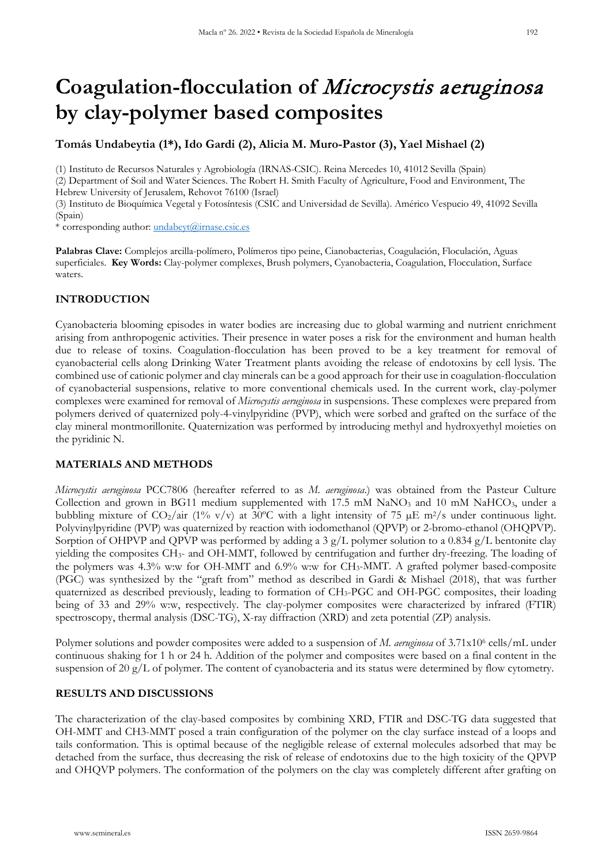# **Coagulation-flocculation of** Microcystis aeruginosa **by clay-polymer based composites**

## **Tomás Undabeytia (1\*), Ido Gardi (2), Alicia M. Muro-Pastor (3), Yael Mishael (2)**

(1) Instituto de Recursos Naturales y Agrobiología (IRNAS-CSIC). Reina Mercedes 10, 41012 Sevilla (Spain)

(2) Department of Soil and Water Sciences. The Robert H. Smith Faculty of Agriculture, Food and Environment, The Hebrew University of Jerusalem, Rehovot 76100 (Israel)

(3) Instituto de Bioquímica Vegetal y Fotosíntesis (CSIC and Universidad de Sevilla). Américo Vespucio 49, 41092 Sevilla (Spain)

\* corresponding author: [undabeyt@irnase.csic.es](mailto:undabeyt@irnase.csic.es)

**Palabras Clave:** Complejos arcilla-polímero, Polímeros tipo peine, Cianobacterias, Coagulación, Floculación, Aguas superficiales. **Key Words:** Clay-polymer complexes, Brush polymers, Cyanobacteria, Coagulation, Flocculation, Surface waters.

## **INTRODUCTION**

Cyanobacteria blooming episodes in water bodies are increasing due to global warming and nutrient enrichment arising from anthropogenic activities. Their presence in water poses a risk for the environment and human health due to release of toxins. Coagulation-flocculation has been proved to be a key treatment for removal of cyanobacterial cells along Drinking Water Treatment plants avoiding the release of endotoxins by cell lysis. The combined use of cationic polymer and clay minerals can be a good approach for their use in coagulation-flocculation of cyanobacterial suspensions, relative to more conventional chemicals used. In the current work, clay-polymer complexes were examined for removal of *Microcystis aeruginosa* in suspensions. These complexes were prepared from polymers derived of quaternized poly-4-vinylpyridine (PVP), which were sorbed and grafted on the surface of the clay mineral montmorillonite. Quaternization was performed by introducing methyl and hydroxyethyl moieties on the pyridinic N.

#### **MATERIALS AND METHODS**

*Microcystis aeruginosa* PCC7806 (hereafter referred to as *M. aeruginosa*.) was obtained from the Pasteur Culture Collection and grown in BG11 medium supplemented with 17.5 mM NaNO<sub>3</sub> and 10 mM NaHCO<sub>3</sub>, under a bubbling mixture of  $CO_2/air$  (1% v/v) at 30°C with a light intensity of 75  $\mu$ E m<sup>2</sup>/s under continuous light. Polyvinylpyridine (PVP) was quaternized by reaction with iodomethanol (QPVP) or 2-bromo-ethanol (OHQPVP). Sorption of OHPVP and QPVP was performed by adding a 3  $g/L$  polymer solution to a 0.834  $g/L$  bentonite clay yielding the composites CH3- and OH-MMT, followed by centrifugation and further dry-freezing. The loading of the polymers was 4.3% w:w for OH-MMT and 6.9% w:w for CH<sub>3</sub>-MMT. A grafted polymer based-composite (PGC) was synthesized by the "graft from" method as described in Gardi & Mishael (2018), that was further quaternized as described previously, leading to formation of CH3-PGC and OH-PGC composites, their loading being of 33 and 29% w:w, respectively. The clay-polymer composites were characterized by infrared (FTIR) spectroscopy, thermal analysis (DSC-TG), X-ray diffraction (XRD) and zeta potential (ZP) analysis.

Polymer solutions and powder composites were added to a suspension of *M. aeruginosa* of 3.71x106 cells/mL under continuous shaking for 1 h or 24 h. Addition of the polymer and composites were based on a final content in the suspension of 20 g/L of polymer. The content of cyanobacteria and its status were determined by flow cytometry.

#### **RESULTS AND DISCUSSIONS**

The characterization of the clay-based composites by combining XRD, FTIR and DSC-TG data suggested that OH-MMT and CH3-MMT posed a train configuration of the polymer on the clay surface instead of a loops and tails conformation. This is optimal because of the negligible release of external molecules adsorbed that may be detached from the surface, thus decreasing the risk of release of endotoxins due to the high toxicity of the QPVP and OHQVP polymers. The conformation of the polymers on the clay was completely different after grafting on